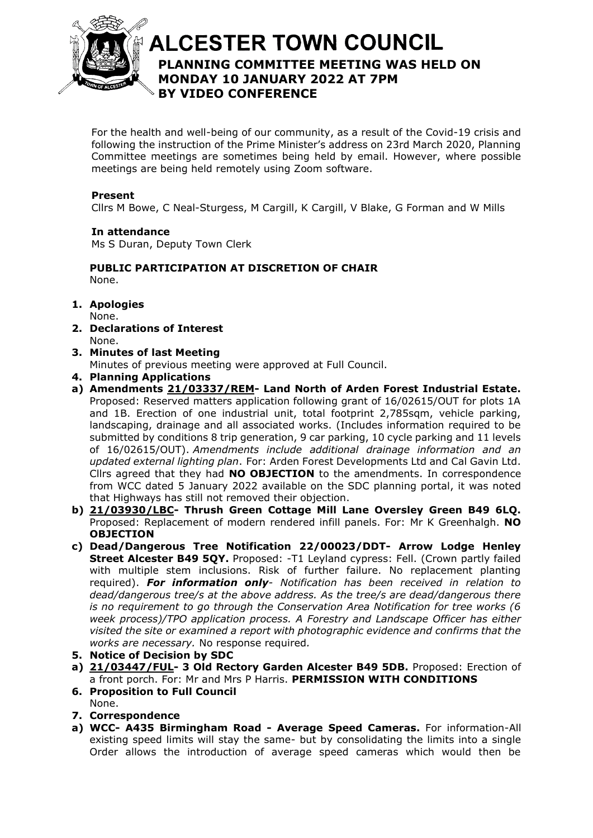

# **ALCESTER TOWN COUNCIL PLANNING COMMITTEE MEETING WAS HELD ON**  At the discretion of the Chair **MONDAY 10 JANUARY 2022 AT 7PM BY VIDEO CONFERENCE**

For the health and well-being of our community, as a result of the Covid-19 crisis and following the instruction of the Prime Minister's address on 23rd March 2020, Planning Committee meetings are sometimes being held by email. However, where possible meetings are being held remotely using Zoom software.

# **Present**

Cllrs M Bowe, C Neal-Sturgess, M Cargill, K Cargill, V Blake, G Forman and W Mills

## **In attendance**

Ms S Duran, Deputy Town Clerk

#### **PUBLIC PARTICIPATION AT DISCRETION OF CHAIR** None.

- **1. Apologies** None.
- **2. Declarations of Interest** None.
- **3. Minutes of last Meeting**
	- Minutes of previous meeting were approved at Full Council.
- **4. Planning Applications**
- **a) Amendments [21/03337/REM-](https://apps.stratford.gov.uk/eplanning/AppDetail.aspx?appkey=R16HTSPMFP200) Land North of Arden Forest Industrial Estate.** Proposed: Reserved matters application following grant of 16/02615/OUT for plots 1A and 1B. Erection of one industrial unit, total footprint 2,785sqm, vehicle parking, landscaping, drainage and all associated works. (Includes information required to be submitted by conditions 8 trip generation, 9 car parking, 10 cycle parking and 11 levels of 16/02615/OUT). *Amendments include additional drainage information and an updated external lighting plan*. For: Arden Forest Developments Ltd and Cal Gavin Ltd. Cllrs agreed that they had **NO OBJECTION** to the amendments. In correspondence from WCC dated 5 January 2022 available on the SDC planning portal, it was noted that Highways has still not removed their objection.
- **b) [21/03930/LBC-](https://apps.stratford.gov.uk/eplanning/AppDetail.aspx?appkey=R41YSUPMKV600) Thrush Green Cottage Mill Lane Oversley Green B49 6LQ.** Proposed: Replacement of modern rendered infill panels. For: Mr K Greenhalgh. **NO OBJECTION**
- **c) Dead/Dangerous Tree Notification 22/00023/DDT- Arrow Lodge Henley Street Alcester B49 5QY.** Proposed: -T1 Leyland cypress: Fell. (Crown partly failed with multiple stem inclusions. Risk of further failure. No replacement planting required). *For information only- Notification has been received in relation to dead/dangerous tree/s at the above address. As the tree/s are dead/dangerous there is no requirement to go through the Conservation Area Notification for tree works (6 week process)/TPO application process. A Forestry and Landscape Officer has either visited the site or examined a report with photographic evidence and confirms that the works are necessary.* No response required*.*
- **5. Notice of Decision by SDC**
- **a) [21/03447/FUL-](https://apps.stratford.gov.uk/eplanning/AppDetail.aspx?appkey=R1N3MLPM0IH00) 3 Old Rectory Garden Alcester B49 5DB.** Proposed: Erection of a front porch. For: Mr and Mrs P Harris. **PERMISSION WITH CONDITIONS**
- **6. Proposition to Full Council** None.
- **7. Correspondence**
- **a) WCC- A435 Birmingham Road - Average Speed Cameras.** For information-All existing speed limits will stay the same- but by consolidating the limits into a single Order allows the introduction of average speed cameras which would then be